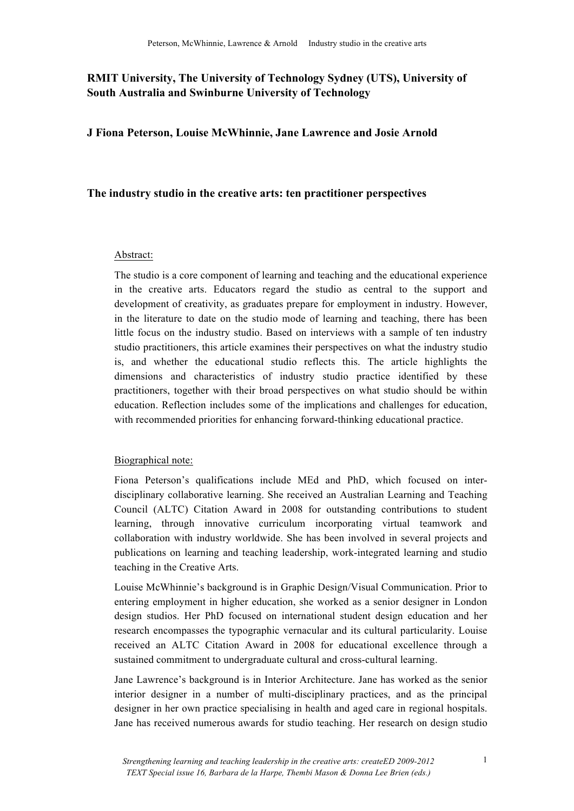## **RMIT University, The University of Technology Sydney (UTS), University of South Australia and Swinburne University of Technology**

**J Fiona Peterson, Louise McWhinnie, Jane Lawrence and Josie Arnold** 

### **The industry studio in the creative arts: ten practitioner perspectives**

#### Abstract:

The studio is a core component of learning and teaching and the educational experience in the creative arts. Educators regard the studio as central to the support and development of creativity, as graduates prepare for employment in industry. However, in the literature to date on the studio mode of learning and teaching, there has been little focus on the industry studio. Based on interviews with a sample of ten industry studio practitioners, this article examines their perspectives on what the industry studio is, and whether the educational studio reflects this. The article highlights the dimensions and characteristics of industry studio practice identified by these practitioners, together with their broad perspectives on what studio should be within education. Reflection includes some of the implications and challenges for education, with recommended priorities for enhancing forward-thinking educational practice.

#### Biographical note:

Fiona Peterson's qualifications include MEd and PhD, which focused on interdisciplinary collaborative learning. She received an Australian Learning and Teaching Council (ALTC) Citation Award in 2008 for outstanding contributions to student learning, through innovative curriculum incorporating virtual teamwork and collaboration with industry worldwide. She has been involved in several projects and publications on learning and teaching leadership, work-integrated learning and studio teaching in the Creative Arts.

Louise McWhinnie's background is in Graphic Design/Visual Communication. Prior to entering employment in higher education, she worked as a senior designer in London design studios. Her PhD focused on international student design education and her research encompasses the typographic vernacular and its cultural particularity. Louise received an ALTC Citation Award in 2008 for educational excellence through a sustained commitment to undergraduate cultural and cross-cultural learning.

Jane Lawrence's background is in Interior Architecture. Jane has worked as the senior interior designer in a number of multi-disciplinary practices, and as the principal designer in her own practice specialising in health and aged care in regional hospitals. Jane has received numerous awards for studio teaching. Her research on design studio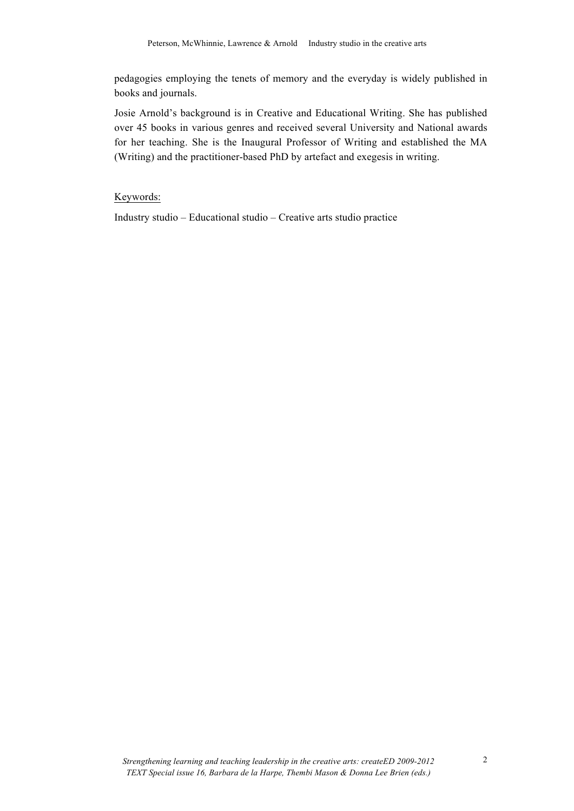pedagogies employing the tenets of memory and the everyday is widely published in books and journals.

Josie Arnold's background is in Creative and Educational Writing. She has published over 45 books in various genres and received several University and National awards for her teaching. She is the Inaugural Professor of Writing and established the MA (Writing) and the practitioner-based PhD by artefact and exegesis in writing.

Keywords:

Industry studio – Educational studio – Creative arts studio practice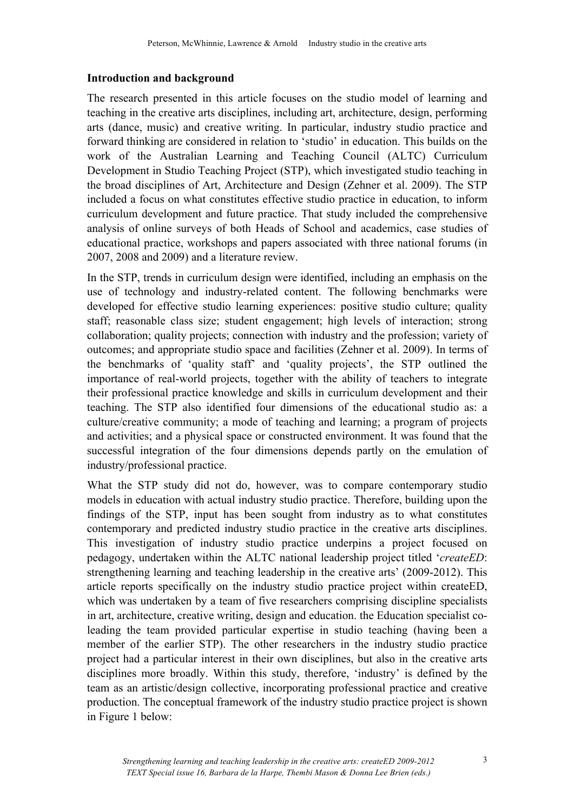### **Introduction and background**

The research presented in this article focuses on the studio model of learning and teaching in the creative arts disciplines, including art, architecture, design, performing arts (dance, music) and creative writing. In particular, industry studio practice and forward thinking are considered in relation to 'studio' in education. This builds on the work of the Australian Learning and Teaching Council (ALTC) Curriculum Development in Studio Teaching Project (STP), which investigated studio teaching in the broad disciplines of Art, Architecture and Design (Zehner et al. 2009). The STP included a focus on what constitutes effective studio practice in education, to inform curriculum development and future practice. That study included the comprehensive analysis of online surveys of both Heads of School and academics, case studies of educational practice, workshops and papers associated with three national forums (in 2007, 2008 and 2009) and a literature review.

In the STP, trends in curriculum design were identified, including an emphasis on the use of technology and industry-related content. The following benchmarks were developed for effective studio learning experiences: positive studio culture; quality staff; reasonable class size; student engagement; high levels of interaction; strong collaboration; quality projects; connection with industry and the profession; variety of outcomes; and appropriate studio space and facilities (Zehner et al. 2009). In terms of the benchmarks of 'quality staff' and 'quality projects', the STP outlined the importance of real-world projects, together with the ability of teachers to integrate their professional practice knowledge and skills in curriculum development and their teaching. The STP also identified four dimensions of the educational studio as: a culture/creative community; a mode of teaching and learning; a program of projects and activities; and a physical space or constructed environment. It was found that the successful integration of the four dimensions depends partly on the emulation of industry/professional practice.

What the STP study did not do, however, was to compare contemporary studio models in education with actual industry studio practice. Therefore, building upon the findings of the STP, input has been sought from industry as to what constitutes contemporary and predicted industry studio practice in the creative arts disciplines. This investigation of industry studio practice underpins a project focused on pedagogy, undertaken within the ALTC national leadership project titled '*createED*: strengthening learning and teaching leadership in the creative arts' (2009-2012). This article reports specifically on the industry studio practice project within createED, which was undertaken by a team of five researchers comprising discipline specialists in art, architecture, creative writing, design and education. the Education specialist coleading the team provided particular expertise in studio teaching (having been a member of the earlier STP). The other researchers in the industry studio practice project had a particular interest in their own disciplines, but also in the creative arts disciplines more broadly. Within this study, therefore, 'industry' is defined by the team as an artistic/design collective, incorporating professional practice and creative production. The conceptual framework of the industry studio practice project is shown in Figure 1 below: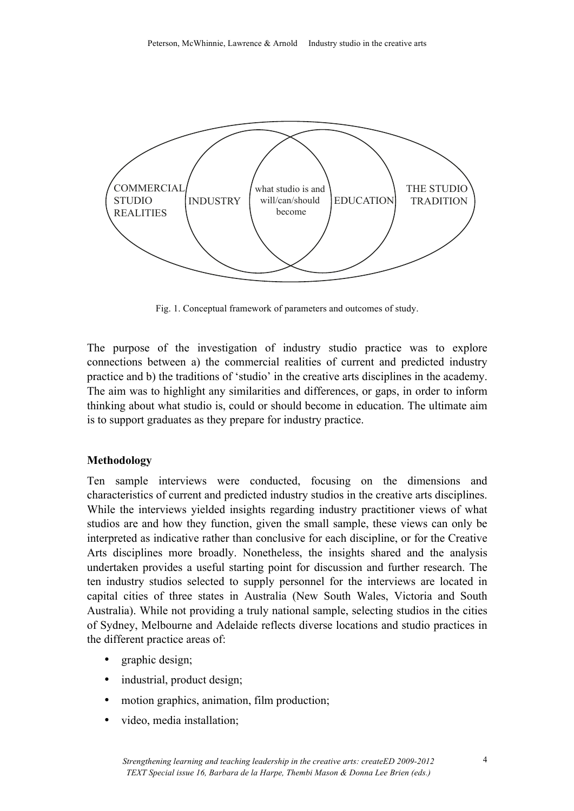

Fig. 1. Conceptual framework of parameters and outcomes of study.

The purpose of the investigation of industry studio practice was to explore connections between a) the commercial realities of current and predicted industry practice and b) the traditions of 'studio' in the creative arts disciplines in the academy. The aim was to highlight any similarities and differences, or gaps, in order to inform thinking about what studio is, could or should become in education. The ultimate aim is to support graduates as they prepare for industry practice.

### **Methodology**

Ten sample interviews were conducted, focusing on the dimensions and characteristics of current and predicted industry studios in the creative arts disciplines. While the interviews yielded insights regarding industry practitioner views of what studios are and how they function, given the small sample, these views can only be interpreted as indicative rather than conclusive for each discipline, or for the Creative Arts disciplines more broadly. Nonetheless, the insights shared and the analysis undertaken provides a useful starting point for discussion and further research. The ten industry studios selected to supply personnel for the interviews are located in capital cities of three states in Australia (New South Wales, Victoria and South Australia). While not providing a truly national sample, selecting studios in the cities of Sydney, Melbourne and Adelaide reflects diverse locations and studio practices in the different practice areas of:

- graphic design;
- industrial, product design;
- motion graphics, animation, film production;
- video, media installation;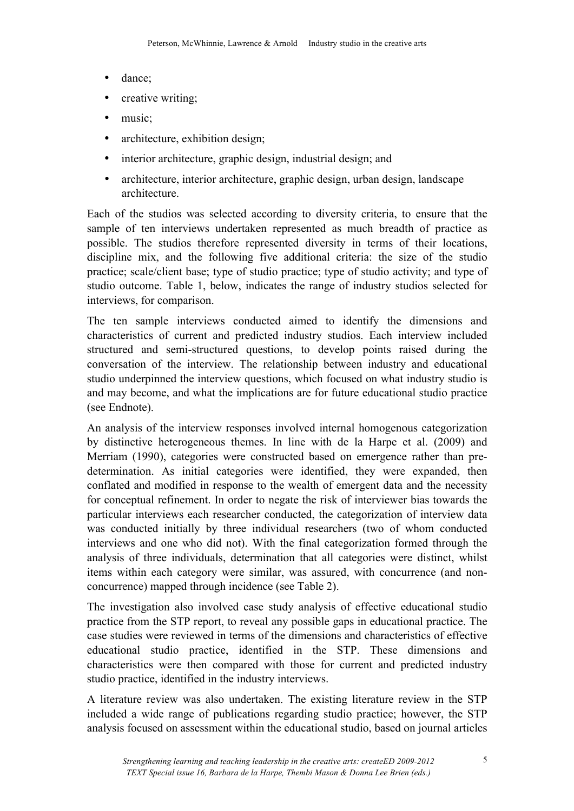- dance;
- creative writing;
- music:
- architecture, exhibition design;
- interior architecture, graphic design, industrial design; and
- architecture, interior architecture, graphic design, urban design, landscape architecture.

Each of the studios was selected according to diversity criteria, to ensure that the sample of ten interviews undertaken represented as much breadth of practice as possible. The studios therefore represented diversity in terms of their locations, discipline mix, and the following five additional criteria: the size of the studio practice; scale/client base; type of studio practice; type of studio activity; and type of studio outcome. Table 1, below, indicates the range of industry studios selected for interviews, for comparison.

The ten sample interviews conducted aimed to identify the dimensions and characteristics of current and predicted industry studios. Each interview included structured and semi-structured questions, to develop points raised during the conversation of the interview. The relationship between industry and educational studio underpinned the interview questions, which focused on what industry studio is and may become, and what the implications are for future educational studio practice (see Endnote).

An analysis of the interview responses involved internal homogenous categorization by distinctive heterogeneous themes. In line with de la Harpe et al. (2009) and Merriam (1990), categories were constructed based on emergence rather than predetermination. As initial categories were identified, they were expanded, then conflated and modified in response to the wealth of emergent data and the necessity for conceptual refinement. In order to negate the risk of interviewer bias towards the particular interviews each researcher conducted, the categorization of interview data was conducted initially by three individual researchers (two of whom conducted interviews and one who did not). With the final categorization formed through the analysis of three individuals, determination that all categories were distinct, whilst items within each category were similar, was assured, with concurrence (and nonconcurrence) mapped through incidence (see Table 2).

The investigation also involved case study analysis of effective educational studio practice from the STP report, to reveal any possible gaps in educational practice. The case studies were reviewed in terms of the dimensions and characteristics of effective educational studio practice, identified in the STP. These dimensions and characteristics were then compared with those for current and predicted industry studio practice, identified in the industry interviews.

A literature review was also undertaken. The existing literature review in the STP included a wide range of publications regarding studio practice; however, the STP analysis focused on assessment within the educational studio, based on journal articles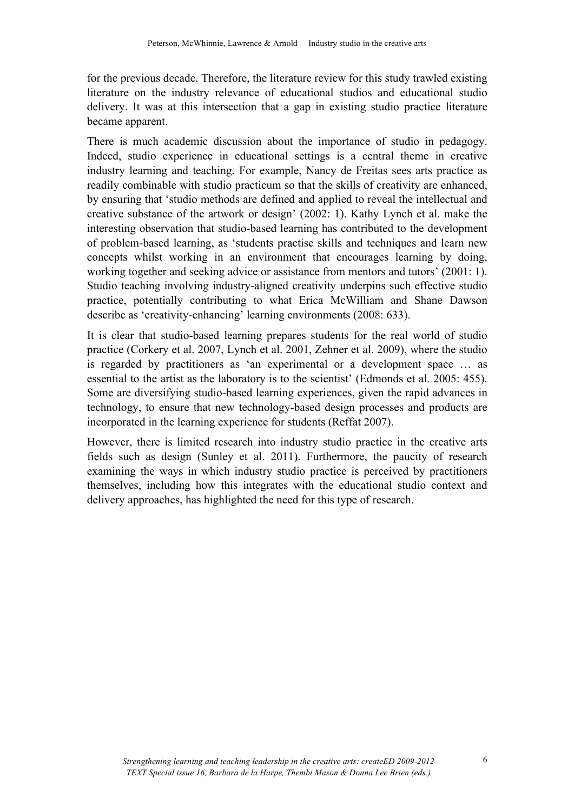for the previous decade. Therefore, the literature review for this study trawled existing literature on the industry relevance of educational studios and educational studio delivery. It was at this intersection that a gap in existing studio practice literature became apparent.

There is much academic discussion about the importance of studio in pedagogy. Indeed, studio experience in educational settings is a central theme in creative industry learning and teaching. For example, Nancy de Freitas sees arts practice as readily combinable with studio practicum so that the skills of creativity are enhanced, by ensuring that 'studio methods are defined and applied to reveal the intellectual and creative substance of the artwork or design' (2002: 1). Kathy Lynch et al. make the interesting observation that studio-based learning has contributed to the development of problem-based learning, as 'students practise skills and techniques and learn new concepts whilst working in an environment that encourages learning by doing, working together and seeking advice or assistance from mentors and tutors' (2001: 1). Studio teaching involving industry-aligned creativity underpins such effective studio practice, potentially contributing to what Erica McWilliam and Shane Dawson describe as 'creativity-enhancing' learning environments (2008: 633).

It is clear that studio-based learning prepares students for the real world of studio practice (Corkery et al. 2007, Lynch et al. 2001, Zehner et al. 2009), where the studio is regarded by practitioners as 'an experimental or a development space … as essential to the artist as the laboratory is to the scientist' (Edmonds et al. 2005: 455). Some are diversifying studio-based learning experiences, given the rapid advances in technology, to ensure that new technology-based design processes and products are incorporated in the learning experience for students (Reffat 2007).

However, there is limited research into industry studio practice in the creative arts fields such as design (Sunley et al. 2011). Furthermore, the paucity of research examining the ways in which industry studio practice is perceived by practitioners themselves, including how this integrates with the educational studio context and delivery approaches, has highlighted the need for this type of research.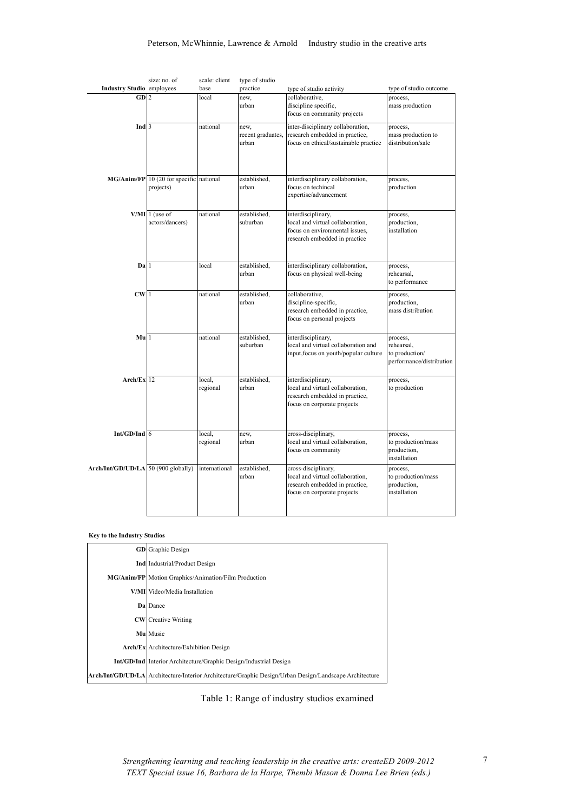|                                       | size: no. of                              | scale: client | type of studio    |                                       |                          |
|---------------------------------------|-------------------------------------------|---------------|-------------------|---------------------------------------|--------------------------|
| <b>Industry Studio</b> employees      |                                           | base          | practice          | type of studio activity               | type of studio outcome   |
| GD 2                                  |                                           | local         | new,              | collaborative,                        | process,                 |
|                                       |                                           |               | urban             | discipline specific,                  | mass production          |
|                                       |                                           |               |                   | focus on community projects           |                          |
| Ind $\overline{3}$                    |                                           | national      | new,              | inter-disciplinary collaboration,     | process,                 |
|                                       |                                           |               | recent graduates, | research embedded in practice,        | mass production to       |
|                                       |                                           |               | urban             | focus on ethical/sustainable practice | distribution/sale        |
|                                       |                                           |               |                   |                                       |                          |
|                                       |                                           |               |                   |                                       |                          |
|                                       |                                           |               |                   |                                       |                          |
|                                       | $MG/Anim/FP$ 10 (20 for specific national |               | established,      | interdisciplinary collaboration,      | process,                 |
|                                       | projects)                                 |               | urban             | focus on techincal                    | production               |
|                                       |                                           |               |                   | expertise/advancement                 |                          |
|                                       |                                           |               |                   |                                       |                          |
|                                       | $V/MI$ 1 (use of                          | national      | established,      | interdisciplinary,                    | process,                 |
|                                       | actors/dancers)                           |               | suburban          | local and virtual collaboration,      | production,              |
|                                       |                                           |               |                   | focus on environmental issues,        | installation             |
|                                       |                                           |               |                   | research embedded in practice         |                          |
|                                       |                                           |               |                   |                                       |                          |
|                                       |                                           |               |                   |                                       |                          |
| $\mathbf{Da}$  1                      |                                           | local         | established,      | interdisciplinary collaboration,      | process,                 |
|                                       |                                           |               | urban             | focus on physical well-being          | rehearsal,               |
|                                       |                                           |               |                   |                                       | to performance           |
| CW 1                                  |                                           | national      | established,      | collaborative,                        | process,                 |
|                                       |                                           |               | urban             | discipline-specific,                  | production,              |
|                                       |                                           |               |                   | research embedded in practice,        | mass distribution        |
|                                       |                                           |               |                   | focus on personal projects            |                          |
|                                       |                                           |               |                   |                                       |                          |
| Mul1                                  |                                           | national      | established,      | interdisciplinary.                    | process,                 |
|                                       |                                           |               | suburban          | local and virtual collaboration and   | rehearsal.               |
|                                       |                                           |               |                   | input, focus on youth/popular culture | to production/           |
|                                       |                                           |               |                   |                                       | performance/distribution |
|                                       |                                           |               |                   |                                       |                          |
| $Arch/Ex$ <sup>12</sup>               |                                           | local,        | established,      | interdisciplinary,                    | process,                 |
|                                       |                                           | regional      | urban             | local and virtual collaboration,      | to production            |
|                                       |                                           |               |                   | research embedded in practice,        |                          |
|                                       |                                           |               |                   | focus on corporate projects           |                          |
|                                       |                                           |               |                   |                                       |                          |
|                                       |                                           |               |                   |                                       |                          |
| $Int/GD/Ind$ 6                        |                                           | local,        | new,              | cross-disciplinary,                   | process,                 |
|                                       |                                           | regional      | urban             | local and virtual collaboration,      | to production/mass       |
|                                       |                                           |               |                   | focus on community                    | production,              |
|                                       |                                           |               |                   |                                       | installation             |
| $Arch/Int/GD/UD/LA$ 50 (900 globally) |                                           | international | established,      | cross-disciplinary,                   | process,                 |
|                                       |                                           |               | urban             | local and virtual collaboration,      | to production/mass       |
|                                       |                                           |               |                   | research embedded in practice,        | production,              |
|                                       |                                           |               |                   | focus on corporate projects           | installation             |
|                                       |                                           |               |                   |                                       |                          |
|                                       |                                           |               |                   |                                       |                          |

#### **Key to the Industry Studios**

| <b>GD</b> Graphic Design                                                                                       |  |  |  |  |
|----------------------------------------------------------------------------------------------------------------|--|--|--|--|
| <b>Ind</b> Industrial/Product Design                                                                           |  |  |  |  |
| MG/Anim/FP Motion Graphics/Animation/Film Production                                                           |  |  |  |  |
| V/MI Video/Media Installation                                                                                  |  |  |  |  |
| <b>Da</b> Dance                                                                                                |  |  |  |  |
| <b>CW</b> Creative Writing                                                                                     |  |  |  |  |
| Mu Music                                                                                                       |  |  |  |  |
| Arch/Ex Architecture/Exhibition Design                                                                         |  |  |  |  |
| <b>Int/GD/Ind</b> Interior Architecture/Graphic Design/Industrial Design                                       |  |  |  |  |
| <b>Arch/Int/GD/UD/LA</b> Architecture/Interior Architecture/Graphic Design/Urban Design/Landscape Architecture |  |  |  |  |

Table 1: Range of industry studios examined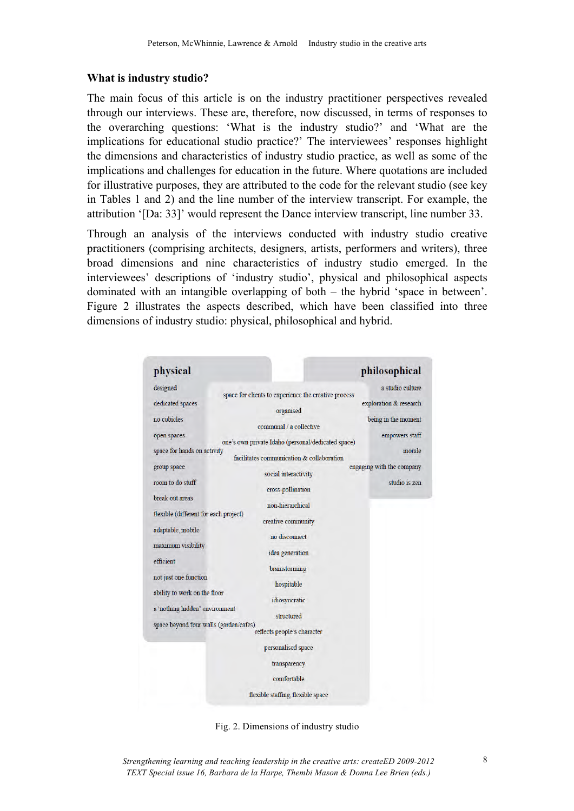### **What is industry studio?**

The main focus of this article is on the industry practitioner perspectives revealed through our interviews. These are, therefore, now discussed, in terms of responses to the overarching questions: 'What is the industry studio?' and 'What are the implications for educational studio practice?' The interviewees' responses highlight the dimensions and characteristics of industry studio practice, as well as some of the implications and challenges for education in the future. Where quotations are included for illustrative purposes, they are attributed to the code for the relevant studio (see key in Tables 1 and 2) and the line number of the interview transcript. For example, the attribution '[Da: 33]' would represent the Dance interview transcript, line number 33.

Through an analysis of the interviews conducted with industry studio creative practitioners (comprising architects, designers, artists, performers and writers), three broad dimensions and nine characteristics of industry studio emerged. In the interviewees' descriptions of 'industry studio', physical and philosophical aspects dominated with an intangible overlapping of both – the hybrid 'space in between'. Figure 2 illustrates the aspects described, which have been classified into three dimensions of industry studio: physical, philosophical and hybrid.

| physical                               |                                                      | philosophical             |
|----------------------------------------|------------------------------------------------------|---------------------------|
| designed                               | space for clients to experience the creative process | a studio culture          |
| dedicated spaces                       |                                                      | exploration & research    |
| no cubicles                            | organised                                            | being in the moment       |
| open spaces                            | communal / a collective                              | empowers staff            |
| space for hands on activity            | one's own private Idaho (personal/dedicated space)   | morale                    |
|                                        | facilitates communication & collaboration            |                           |
| group space                            | social interactivity                                 | engaging with the company |
| room to do stuff                       | cross-pollination                                    | studio is zen             |
| break out areas                        | non-hierarchical                                     |                           |
| flexible (different for each project)  |                                                      |                           |
|                                        | creative community                                   |                           |
| adaptable, mobile                      | no disconnect                                        |                           |
| maximum visibility                     |                                                      |                           |
| efficient                              | idea generation                                      |                           |
|                                        | brainstorming                                        |                           |
| not just one function                  | hospitable                                           |                           |
| ability to work on the floor           |                                                      |                           |
|                                        | idiosyncratic                                        |                           |
| a 'nothing hidden' environment         | structured                                           |                           |
| space beyond four walls (garden/cafes) | reflects people's character                          |                           |
|                                        | personalised space                                   |                           |
|                                        | transparency                                         |                           |
|                                        | comfortable                                          |                           |
|                                        | flexible staffing, flexible space                    |                           |

Fig. 2. Dimensions of industry studio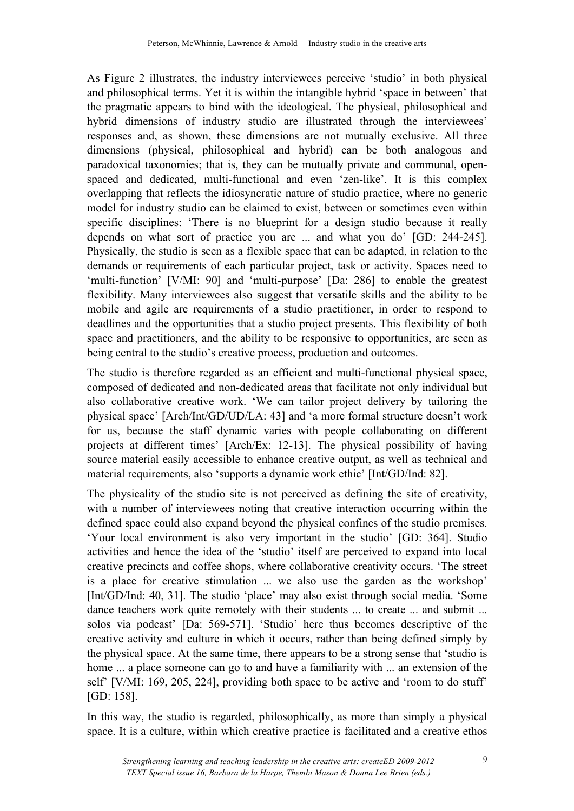As Figure 2 illustrates, the industry interviewees perceive 'studio' in both physical and philosophical terms. Yet it is within the intangible hybrid 'space in between' that the pragmatic appears to bind with the ideological. The physical, philosophical and hybrid dimensions of industry studio are illustrated through the interviewees' responses and, as shown, these dimensions are not mutually exclusive. All three dimensions (physical, philosophical and hybrid) can be both analogous and paradoxical taxonomies; that is, they can be mutually private and communal, openspaced and dedicated, multi-functional and even 'zen-like'. It is this complex overlapping that reflects the idiosyncratic nature of studio practice, where no generic model for industry studio can be claimed to exist, between or sometimes even within specific disciplines: 'There is no blueprint for a design studio because it really depends on what sort of practice you are ... and what you do' [GD: 244-245]. Physically, the studio is seen as a flexible space that can be adapted, in relation to the demands or requirements of each particular project, task or activity. Spaces need to 'multi-function' [V/MI: 90] and 'multi-purpose' [Da: 286] to enable the greatest flexibility. Many interviewees also suggest that versatile skills and the ability to be mobile and agile are requirements of a studio practitioner, in order to respond to deadlines and the opportunities that a studio project presents. This flexibility of both space and practitioners, and the ability to be responsive to opportunities, are seen as being central to the studio's creative process, production and outcomes.

The studio is therefore regarded as an efficient and multi-functional physical space, composed of dedicated and non-dedicated areas that facilitate not only individual but also collaborative creative work. 'We can tailor project delivery by tailoring the physical space' [Arch/Int/GD/UD/LA: 43] and 'a more formal structure doesn't work for us, because the staff dynamic varies with people collaborating on different projects at different times' [Arch/Ex: 12-13]. The physical possibility of having source material easily accessible to enhance creative output, as well as technical and material requirements, also 'supports a dynamic work ethic' [Int/GD/Ind: 82].

The physicality of the studio site is not perceived as defining the site of creativity, with a number of interviewees noting that creative interaction occurring within the defined space could also expand beyond the physical confines of the studio premises. 'Your local environment is also very important in the studio' [GD: 364]. Studio activities and hence the idea of the 'studio' itself are perceived to expand into local creative precincts and coffee shops, where collaborative creativity occurs. 'The street is a place for creative stimulation ... we also use the garden as the workshop' [Int/GD/Ind: 40, 31]. The studio 'place' may also exist through social media. 'Some dance teachers work quite remotely with their students ... to create ... and submit ... solos via podcast' [Da: 569-571]. 'Studio' here thus becomes descriptive of the creative activity and culture in which it occurs, rather than being defined simply by the physical space. At the same time, there appears to be a strong sense that 'studio is home ... a place someone can go to and have a familiarity with ... an extension of the self' [V/MI: 169, 205, 224], providing both space to be active and 'room to do stuff' [GD: 158].

In this way, the studio is regarded, philosophically, as more than simply a physical space. It is a culture, within which creative practice is facilitated and a creative ethos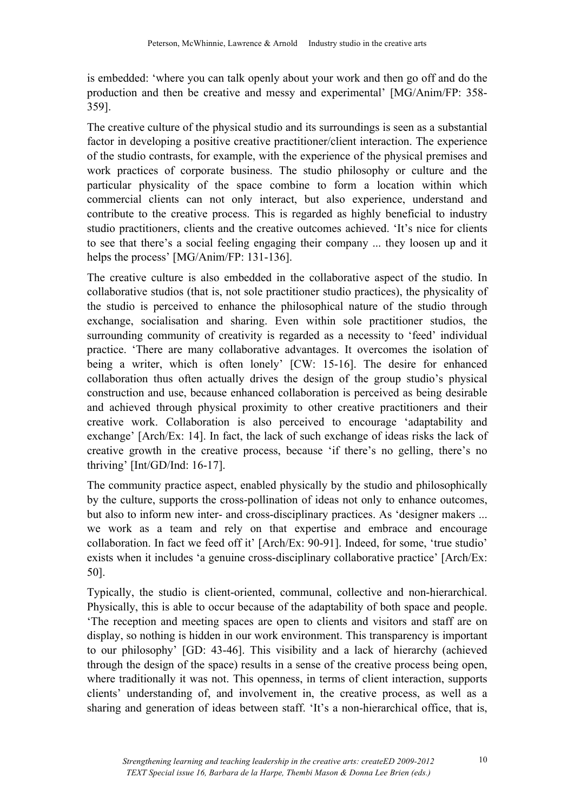is embedded: 'where you can talk openly about your work and then go off and do the production and then be creative and messy and experimental' [MG/Anim/FP: 358- 359].

The creative culture of the physical studio and its surroundings is seen as a substantial factor in developing a positive creative practitioner/client interaction. The experience of the studio contrasts, for example, with the experience of the physical premises and work practices of corporate business. The studio philosophy or culture and the particular physicality of the space combine to form a location within which commercial clients can not only interact, but also experience, understand and contribute to the creative process. This is regarded as highly beneficial to industry studio practitioners, clients and the creative outcomes achieved. 'It's nice for clients to see that there's a social feeling engaging their company ... they loosen up and it helps the process' [MG/Anim/FP: 131-136].

The creative culture is also embedded in the collaborative aspect of the studio. In collaborative studios (that is, not sole practitioner studio practices), the physicality of the studio is perceived to enhance the philosophical nature of the studio through exchange, socialisation and sharing. Even within sole practitioner studios, the surrounding community of creativity is regarded as a necessity to 'feed' individual practice. 'There are many collaborative advantages. It overcomes the isolation of being a writer, which is often lonely' [CW: 15-16]. The desire for enhanced collaboration thus often actually drives the design of the group studio's physical construction and use, because enhanced collaboration is perceived as being desirable and achieved through physical proximity to other creative practitioners and their creative work. Collaboration is also perceived to encourage 'adaptability and exchange' [Arch/Ex: 14]. In fact, the lack of such exchange of ideas risks the lack of creative growth in the creative process, because 'if there's no gelling, there's no thriving' [Int/GD/Ind: 16-17].

The community practice aspect, enabled physically by the studio and philosophically by the culture, supports the cross-pollination of ideas not only to enhance outcomes, but also to inform new inter- and cross-disciplinary practices. As 'designer makers ... we work as a team and rely on that expertise and embrace and encourage collaboration. In fact we feed off it' [Arch/Ex: 90-91]. Indeed, for some, 'true studio' exists when it includes 'a genuine cross-disciplinary collaborative practice' [Arch/Ex: 50].

Typically, the studio is client-oriented, communal, collective and non-hierarchical. Physically, this is able to occur because of the adaptability of both space and people. 'The reception and meeting spaces are open to clients and visitors and staff are on display, so nothing is hidden in our work environment. This transparency is important to our philosophy' [GD: 43-46]. This visibility and a lack of hierarchy (achieved through the design of the space) results in a sense of the creative process being open, where traditionally it was not. This openness, in terms of client interaction, supports clients' understanding of, and involvement in, the creative process, as well as a sharing and generation of ideas between staff. 'It's a non-hierarchical office, that is,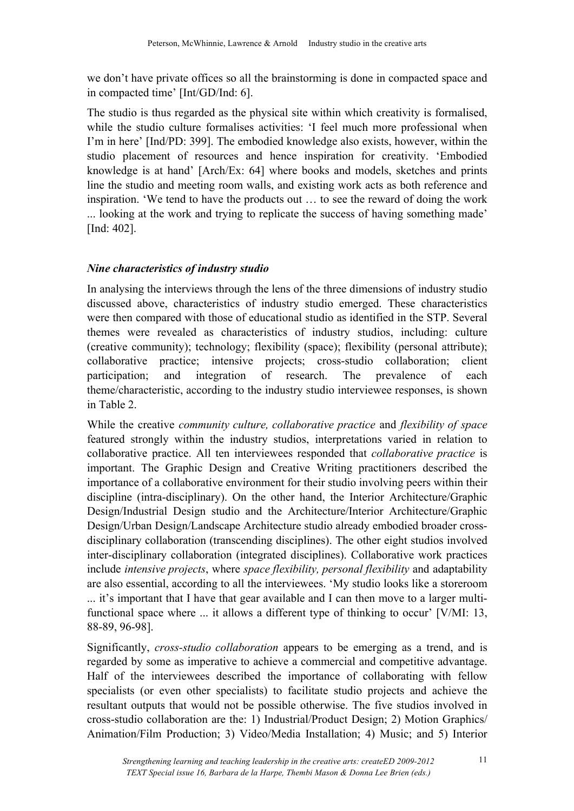we don't have private offices so all the brainstorming is done in compacted space and in compacted time' [Int/GD/Ind: 6].

The studio is thus regarded as the physical site within which creativity is formalised, while the studio culture formalises activities: 'I feel much more professional when I'm in here' [Ind/PD: 399]. The embodied knowledge also exists, however, within the studio placement of resources and hence inspiration for creativity. 'Embodied knowledge is at hand' [Arch/Ex: 64] where books and models, sketches and prints line the studio and meeting room walls, and existing work acts as both reference and inspiration. 'We tend to have the products out … to see the reward of doing the work ... looking at the work and trying to replicate the success of having something made' [Ind: 402].

## *Nine characteristics of industry studio*

In analysing the interviews through the lens of the three dimensions of industry studio discussed above, characteristics of industry studio emerged. These characteristics were then compared with those of educational studio as identified in the STP. Several themes were revealed as characteristics of industry studios, including: culture (creative community); technology; flexibility (space); flexibility (personal attribute); collaborative practice; intensive projects; cross-studio collaboration; client participation; and integration of research. The prevalence of each theme/characteristic, according to the industry studio interviewee responses, is shown in Table 2.

While the creative *community culture, collaborative practice* and *flexibility of space* featured strongly within the industry studios, interpretations varied in relation to collaborative practice. All ten interviewees responded that *collaborative practice* is important. The Graphic Design and Creative Writing practitioners described the importance of a collaborative environment for their studio involving peers within their discipline (intra-disciplinary). On the other hand, the Interior Architecture/Graphic Design/Industrial Design studio and the Architecture/Interior Architecture/Graphic Design/Urban Design/Landscape Architecture studio already embodied broader crossdisciplinary collaboration (transcending disciplines). The other eight studios involved inter-disciplinary collaboration (integrated disciplines). Collaborative work practices include *intensive projects*, where *space flexibility, personal flexibility* and adaptability are also essential, according to all the interviewees. 'My studio looks like a storeroom ... it's important that I have that gear available and I can then move to a larger multifunctional space where ... it allows a different type of thinking to occur' [V/MI: 13, 88-89, 96-98].

Significantly, *cross-studio collaboration* appears to be emerging as a trend, and is regarded by some as imperative to achieve a commercial and competitive advantage. Half of the interviewees described the importance of collaborating with fellow specialists (or even other specialists) to facilitate studio projects and achieve the resultant outputs that would not be possible otherwise. The five studios involved in cross-studio collaboration are the: 1) Industrial/Product Design; 2) Motion Graphics/ Animation/Film Production; 3) Video/Media Installation; 4) Music; and 5) Interior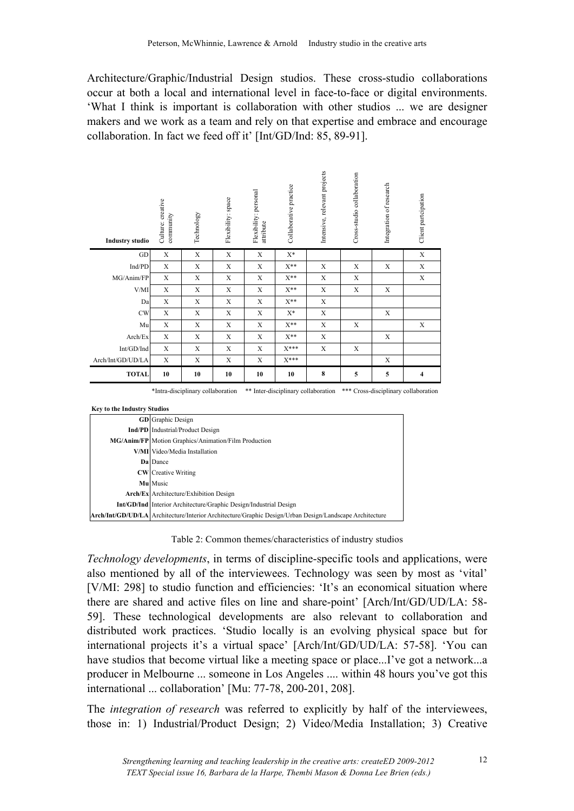Architecture/Graphic/Industrial Design studios. These cross-studio collaborations occur at both a local and international level in face-to-face or digital environments. 'What I think is important is collaboration with other studios ... we are designer makers and we work as a team and rely on that expertise and embrace and encourage collaboration. In fact we feed off it' [Int/GD/Ind: 85, 89-91].

| <b>Industry studio</b>                                                                                                                                 | Culture: creative<br>community                                                                          | Technology  | Flexibility: space | Flexibility: personal<br>attribute | Collaborative practice | Intensive, relevant projects | Cross-studio collaboration | Integration of research | Client partcipation     |
|--------------------------------------------------------------------------------------------------------------------------------------------------------|---------------------------------------------------------------------------------------------------------|-------------|--------------------|------------------------------------|------------------------|------------------------------|----------------------------|-------------------------|-------------------------|
| GD                                                                                                                                                     | $\mathbf X$                                                                                             | $\mathbf X$ | $\mathbf X$        | X                                  | $X^*$                  |                              |                            |                         | $\mathbf X$             |
| Ind/PD                                                                                                                                                 | X                                                                                                       | X           | X                  | X                                  | $X^{**}$               | X                            | X                          | X                       | X                       |
| MG/Anim/FP                                                                                                                                             | $\mathbf X$                                                                                             | $\mathbf X$ | $\mathbf X$        | $\mathbf X$                        | $X^{**}$               | $\mathbf X$                  | $\mathbf X$                |                         | X                       |
| V/MI                                                                                                                                                   | X                                                                                                       | X           | X                  | X                                  | $X^{**}$               | $\mathbf X$                  | $\mathbf X$                | $\mathbf X$             |                         |
| Da                                                                                                                                                     | X                                                                                                       | X           | $\mathbf X$        | X                                  | $X^{**}$               | X                            |                            |                         |                         |
| <b>CW</b>                                                                                                                                              | $\mathbf X$                                                                                             | X           | X                  | $\mathbf X$                        | $X^*$                  | $\mathbf X$                  |                            | $\mathbf X$             |                         |
| Mu                                                                                                                                                     | $\mathbf X$                                                                                             | X           | X                  | $\mathbf X$                        | $X^{**}$               | X                            | X                          |                         | X                       |
| Arch/Ex                                                                                                                                                | X                                                                                                       | X           | X                  | X                                  | $X^{**}$               | X                            |                            | X                       |                         |
| Int/GD/Ind                                                                                                                                             | $\mathbf X$                                                                                             | X           | $\mathbf X$        | $\mathbf X$                        | $X***$                 | $\mathbf X$                  | X                          |                         |                         |
| Arch/Int/GD/UD/LA                                                                                                                                      | X                                                                                                       | X           | X                  | X                                  | $X***$                 |                              |                            | X                       |                         |
| <b>TOTAL</b>                                                                                                                                           | 10                                                                                                      | 10          | 10                 | 10                                 | 10                     | 8                            | 5                          | 5                       | $\overline{\mathbf{4}}$ |
| ** Inter-disciplinary collaboration<br>*** Cross-disciplinary collaboration<br>*Intra-disciplinary collaboration<br><b>Key to the Industry Studios</b> |                                                                                                         |             |                    |                                    |                        |                              |                            |                         |                         |
|                                                                                                                                                        | <b>GD</b> Graphic Design                                                                                |             |                    |                                    |                        |                              |                            |                         |                         |
| <b>Ind/PD</b> Industrial/Product Design                                                                                                                |                                                                                                         |             |                    |                                    |                        |                              |                            |                         |                         |
| MG/Anim/FP Motion Graphics/Animation/Film Production                                                                                                   |                                                                                                         |             |                    |                                    |                        |                              |                            |                         |                         |
| V/MI Video/Media Installation<br>Da Dance                                                                                                              |                                                                                                         |             |                    |                                    |                        |                              |                            |                         |                         |
|                                                                                                                                                        |                                                                                                         |             |                    |                                    |                        |                              |                            |                         |                         |
|                                                                                                                                                        | <b>CW</b> Creative Writing<br>Mu Music                                                                  |             |                    |                                    |                        |                              |                            |                         |                         |
|                                                                                                                                                        | Arch/Ex Architecture/Exhibition Design                                                                  |             |                    |                                    |                        |                              |                            |                         |                         |
|                                                                                                                                                        | Int/GD/Ind Interior Architecture/Graphic Design/Industrial Design                                       |             |                    |                                    |                        |                              |                            |                         |                         |
|                                                                                                                                                        | Arch/Int/GD/UD/LA Architecture/Interior Architecture/Graphic Design/Urban Design/Landscape Architecture |             |                    |                                    |                        |                              |                            |                         |                         |

| <b>GD</b> Graphic Design                                                                                |
|---------------------------------------------------------------------------------------------------------|
| <b>Ind/PD</b> Industrial/Product Design                                                                 |
| MG/Anim/FP   Motion Graphics/Animation/Film Production                                                  |
| V/MI Video/Media Installation                                                                           |
| <b>Da</b> Dance                                                                                         |
| <b>CW</b> Creative Writing                                                                              |
| Mu Music                                                                                                |
| <b>Arch/Ex</b> Architecture/Exhibition Design                                                           |
| <b>Int/GD/Ind</b> Interior Architecture/Graphic Design/Industrial Design                                |
| Arch/Int/GD/UD/LA Architecture/Interior Architecture/Graphic Design/Urban Design/Landscape Architecture |
|                                                                                                         |

Table 2: Common themes/characteristics of industry studios

*Technology developments*, in terms of discipline-specific tools and applications, were also mentioned by all of the interviewees. Technology was seen by most as 'vital' [V/MI: 298] to studio function and efficiencies: 'It's an economical situation where there are shared and active files on line and share-point' [Arch/Int/GD/UD/LA: 58- 59]. These technological developments are also relevant to collaboration and distributed work practices. 'Studio locally is an evolving physical space but for international projects it's a virtual space' [Arch/Int/GD/UD/LA: 57-58]. 'You can have studios that become virtual like a meeting space or place...I've got a network...a producer in Melbourne ... someone in Los Angeles .... within 48 hours you've got this international ... collaboration' [Mu: 77-78, 200-201, 208].

The *integration of research* was referred to explicitly by half of the interviewees, those in: 1) Industrial/Product Design; 2) Video/Media Installation; 3) Creative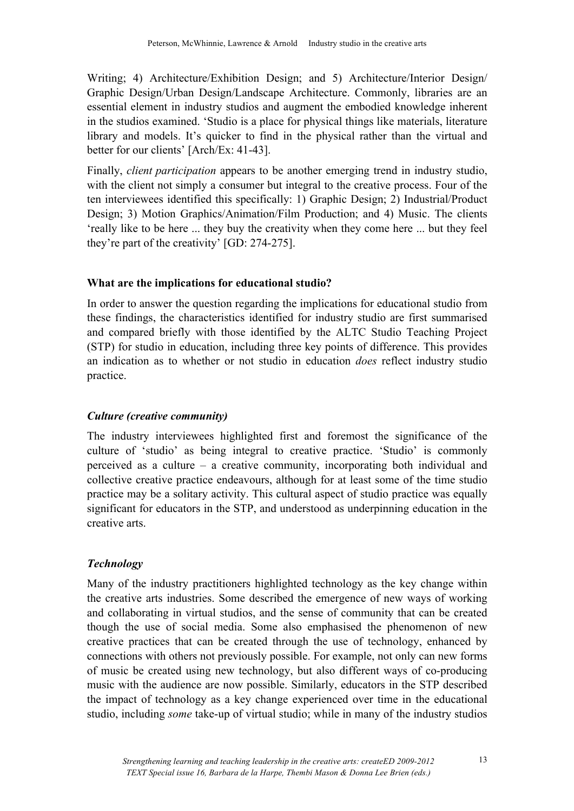Writing; 4) Architecture/Exhibition Design; and 5) Architecture/Interior Design/ Graphic Design/Urban Design/Landscape Architecture. Commonly, libraries are an essential element in industry studios and augment the embodied knowledge inherent in the studios examined. 'Studio is a place for physical things like materials, literature library and models. It's quicker to find in the physical rather than the virtual and better for our clients' [Arch/Ex: 41-43].

Finally, *client participation* appears to be another emerging trend in industry studio, with the client not simply a consumer but integral to the creative process. Four of the ten interviewees identified this specifically: 1) Graphic Design; 2) Industrial/Product Design; 3) Motion Graphics/Animation/Film Production; and 4) Music. The clients 'really like to be here ... they buy the creativity when they come here ... but they feel they're part of the creativity' [GD: 274-275].

## **What are the implications for educational studio?**

In order to answer the question regarding the implications for educational studio from these findings, the characteristics identified for industry studio are first summarised and compared briefly with those identified by the ALTC Studio Teaching Project (STP) for studio in education, including three key points of difference. This provides an indication as to whether or not studio in education *does* reflect industry studio practice.

# *Culture (creative community)*

The industry interviewees highlighted first and foremost the significance of the culture of 'studio' as being integral to creative practice. 'Studio' is commonly perceived as a culture – a creative community, incorporating both individual and collective creative practice endeavours, although for at least some of the time studio practice may be a solitary activity. This cultural aspect of studio practice was equally significant for educators in the STP, and understood as underpinning education in the creative arts.

# *Technology*

Many of the industry practitioners highlighted technology as the key change within the creative arts industries. Some described the emergence of new ways of working and collaborating in virtual studios, and the sense of community that can be created though the use of social media. Some also emphasised the phenomenon of new creative practices that can be created through the use of technology, enhanced by connections with others not previously possible. For example, not only can new forms of music be created using new technology, but also different ways of co-producing music with the audience are now possible. Similarly, educators in the STP described the impact of technology as a key change experienced over time in the educational studio, including *some* take-up of virtual studio; while in many of the industry studios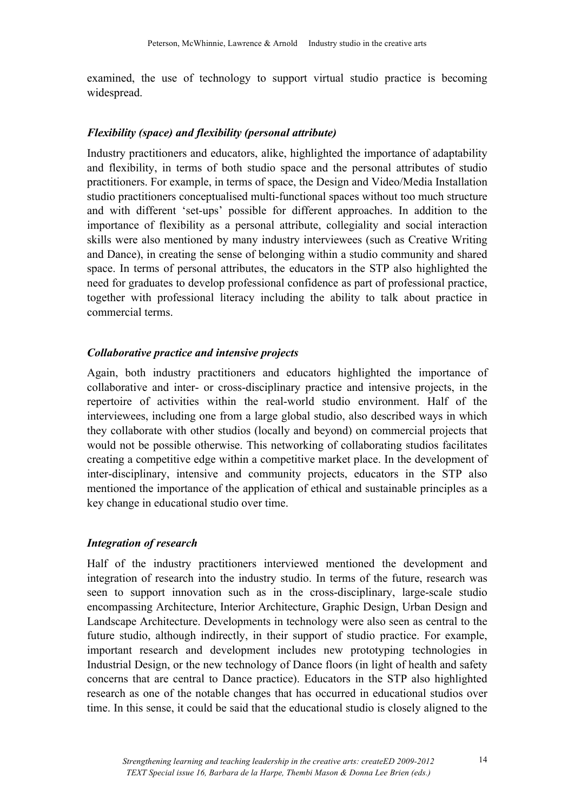examined, the use of technology to support virtual studio practice is becoming widespread.

### *Flexibility (space) and flexibility (personal attribute)*

Industry practitioners and educators, alike, highlighted the importance of adaptability and flexibility, in terms of both studio space and the personal attributes of studio practitioners. For example, in terms of space, the Design and Video/Media Installation studio practitioners conceptualised multi-functional spaces without too much structure and with different 'set-ups' possible for different approaches. In addition to the importance of flexibility as a personal attribute, collegiality and social interaction skills were also mentioned by many industry interviewees (such as Creative Writing and Dance), in creating the sense of belonging within a studio community and shared space. In terms of personal attributes, the educators in the STP also highlighted the need for graduates to develop professional confidence as part of professional practice, together with professional literacy including the ability to talk about practice in commercial terms.

### *Collaborative practice and intensive projects*

Again, both industry practitioners and educators highlighted the importance of collaborative and inter- or cross-disciplinary practice and intensive projects, in the repertoire of activities within the real-world studio environment. Half of the interviewees, including one from a large global studio, also described ways in which they collaborate with other studios (locally and beyond) on commercial projects that would not be possible otherwise. This networking of collaborating studios facilitates creating a competitive edge within a competitive market place. In the development of inter-disciplinary, intensive and community projects, educators in the STP also mentioned the importance of the application of ethical and sustainable principles as a key change in educational studio over time.

### *Integration of research*

Half of the industry practitioners interviewed mentioned the development and integration of research into the industry studio. In terms of the future, research was seen to support innovation such as in the cross-disciplinary, large-scale studio encompassing Architecture, Interior Architecture, Graphic Design, Urban Design and Landscape Architecture. Developments in technology were also seen as central to the future studio, although indirectly, in their support of studio practice. For example, important research and development includes new prototyping technologies in Industrial Design, or the new technology of Dance floors (in light of health and safety concerns that are central to Dance practice). Educators in the STP also highlighted research as one of the notable changes that has occurred in educational studios over time. In this sense, it could be said that the educational studio is closely aligned to the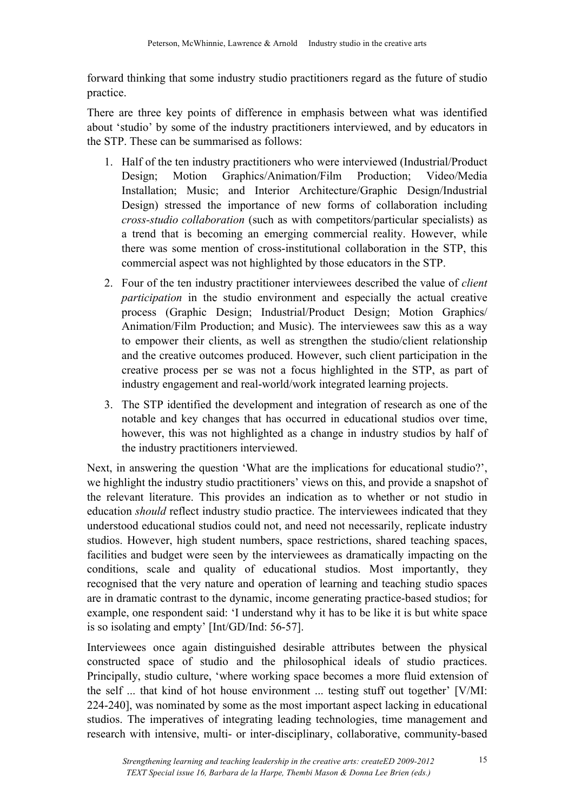forward thinking that some industry studio practitioners regard as the future of studio practice.

There are three key points of difference in emphasis between what was identified about 'studio' by some of the industry practitioners interviewed, and by educators in the STP. These can be summarised as follows:

- 1. Half of the ten industry practitioners who were interviewed (Industrial/Product Design; Motion Graphics/Animation/Film Production; Video/Media Installation; Music; and Interior Architecture/Graphic Design/Industrial Design) stressed the importance of new forms of collaboration including *cross-studio collaboration* (such as with competitors/particular specialists) as a trend that is becoming an emerging commercial reality. However, while there was some mention of cross-institutional collaboration in the STP, this commercial aspect was not highlighted by those educators in the STP.
- 2. Four of the ten industry practitioner interviewees described the value of *client participation* in the studio environment and especially the actual creative process (Graphic Design; Industrial/Product Design; Motion Graphics/ Animation/Film Production; and Music). The interviewees saw this as a way to empower their clients, as well as strengthen the studio/client relationship and the creative outcomes produced. However, such client participation in the creative process per se was not a focus highlighted in the STP, as part of industry engagement and real-world/work integrated learning projects.
- 3. The STP identified the development and integration of research as one of the notable and key changes that has occurred in educational studios over time, however, this was not highlighted as a change in industry studios by half of the industry practitioners interviewed.

Next, in answering the question 'What are the implications for educational studio?', we highlight the industry studio practitioners' views on this, and provide a snapshot of the relevant literature. This provides an indication as to whether or not studio in education *should* reflect industry studio practice. The interviewees indicated that they understood educational studios could not, and need not necessarily, replicate industry studios. However, high student numbers, space restrictions, shared teaching spaces, facilities and budget were seen by the interviewees as dramatically impacting on the conditions, scale and quality of educational studios. Most importantly, they recognised that the very nature and operation of learning and teaching studio spaces are in dramatic contrast to the dynamic, income generating practice-based studios; for example, one respondent said: 'I understand why it has to be like it is but white space is so isolating and empty' [Int/GD/Ind: 56-57].

Interviewees once again distinguished desirable attributes between the physical constructed space of studio and the philosophical ideals of studio practices. Principally, studio culture, 'where working space becomes a more fluid extension of the self ... that kind of hot house environment ... testing stuff out together' [V/MI: 224-240], was nominated by some as the most important aspect lacking in educational studios. The imperatives of integrating leading technologies, time management and research with intensive, multi- or inter-disciplinary, collaborative, community-based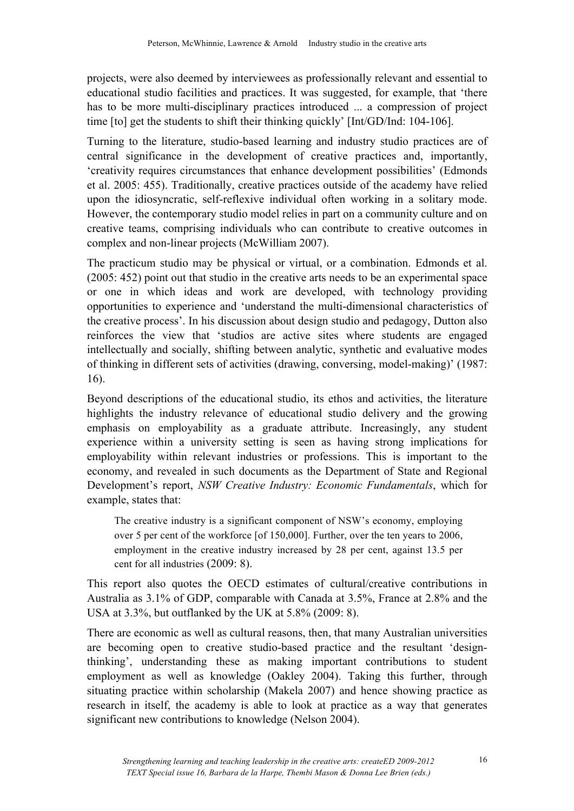projects, were also deemed by interviewees as professionally relevant and essential to educational studio facilities and practices. It was suggested, for example, that 'there has to be more multi-disciplinary practices introduced ... a compression of project time [to] get the students to shift their thinking quickly' [Int/GD/Ind: 104-106].

Turning to the literature, studio-based learning and industry studio practices are of central significance in the development of creative practices and, importantly, 'creativity requires circumstances that enhance development possibilities' (Edmonds et al. 2005: 455). Traditionally, creative practices outside of the academy have relied upon the idiosyncratic, self-reflexive individual often working in a solitary mode. However, the contemporary studio model relies in part on a community culture and on creative teams, comprising individuals who can contribute to creative outcomes in complex and non-linear projects (McWilliam 2007).

The practicum studio may be physical or virtual, or a combination. Edmonds et al. (2005: 452) point out that studio in the creative arts needs to be an experimental space or one in which ideas and work are developed, with technology providing opportunities to experience and 'understand the multi-dimensional characteristics of the creative process'. In his discussion about design studio and pedagogy, Dutton also reinforces the view that 'studios are active sites where students are engaged intellectually and socially, shifting between analytic, synthetic and evaluative modes of thinking in different sets of activities (drawing, conversing, model-making)' (1987: 16).

Beyond descriptions of the educational studio, its ethos and activities, the literature highlights the industry relevance of educational studio delivery and the growing emphasis on employability as a graduate attribute. Increasingly, any student experience within a university setting is seen as having strong implications for employability within relevant industries or professions. This is important to the economy, and revealed in such documents as the Department of State and Regional Development's report, *NSW Creative Industry: Economic Fundamentals*, which for example, states that:

The creative industry is a significant component of NSW's economy, employing over 5 per cent of the workforce [of 150,000]. Further, over the ten years to 2006, employment in the creative industry increased by 28 per cent, against 13.5 per cent for all industries (2009: 8).

This report also quotes the OECD estimates of cultural/creative contributions in Australia as 3.1% of GDP, comparable with Canada at 3.5%, France at 2.8% and the USA at 3.3%, but outflanked by the UK at 5.8% (2009: 8).

There are economic as well as cultural reasons, then, that many Australian universities are becoming open to creative studio-based practice and the resultant 'designthinking', understanding these as making important contributions to student employment as well as knowledge (Oakley 2004). Taking this further, through situating practice within scholarship (Makela 2007) and hence showing practice as research in itself, the academy is able to look at practice as a way that generates significant new contributions to knowledge (Nelson 2004).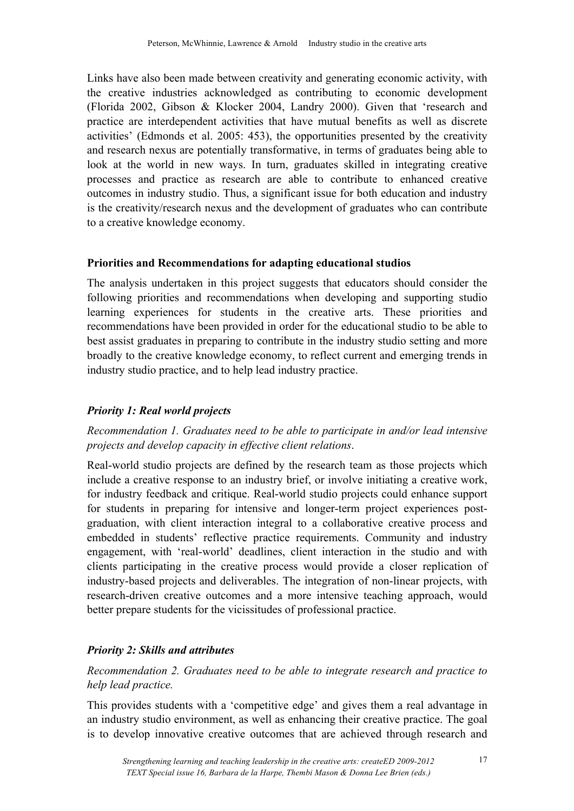Links have also been made between creativity and generating economic activity, with the creative industries acknowledged as contributing to economic development (Florida 2002, Gibson & Klocker 2004, Landry 2000). Given that 'research and practice are interdependent activities that have mutual benefits as well as discrete activities' (Edmonds et al. 2005: 453), the opportunities presented by the creativity and research nexus are potentially transformative, in terms of graduates being able to look at the world in new ways. In turn, graduates skilled in integrating creative processes and practice as research are able to contribute to enhanced creative outcomes in industry studio. Thus, a significant issue for both education and industry is the creativity/research nexus and the development of graduates who can contribute to a creative knowledge economy.

### **Priorities and Recommendations for adapting educational studios**

The analysis undertaken in this project suggests that educators should consider the following priorities and recommendations when developing and supporting studio learning experiences for students in the creative arts. These priorities and recommendations have been provided in order for the educational studio to be able to best assist graduates in preparing to contribute in the industry studio setting and more broadly to the creative knowledge economy, to reflect current and emerging trends in industry studio practice, and to help lead industry practice.

### *Priority 1: Real world projects*

## *Recommendation 1. Graduates need to be able to participate in and/or lead intensive projects and develop capacity in effective client relations*.

Real-world studio projects are defined by the research team as those projects which include a creative response to an industry brief, or involve initiating a creative work, for industry feedback and critique. Real-world studio projects could enhance support for students in preparing for intensive and longer-term project experiences postgraduation, with client interaction integral to a collaborative creative process and embedded in students' reflective practice requirements. Community and industry engagement, with 'real-world' deadlines, client interaction in the studio and with clients participating in the creative process would provide a closer replication of industry-based projects and deliverables. The integration of non-linear projects, with research-driven creative outcomes and a more intensive teaching approach, would better prepare students for the vicissitudes of professional practice.

### *Priority 2: Skills and attributes*

### *Recommendation 2. Graduates need to be able to integrate research and practice to help lead practice.*

This provides students with a 'competitive edge' and gives them a real advantage in an industry studio environment, as well as enhancing their creative practice. The goal is to develop innovative creative outcomes that are achieved through research and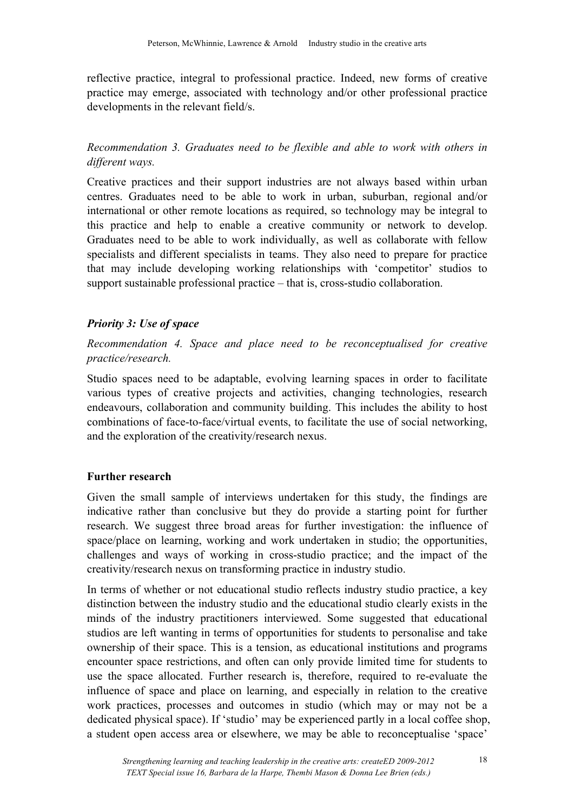reflective practice, integral to professional practice. Indeed, new forms of creative practice may emerge, associated with technology and/or other professional practice developments in the relevant field/s.

# *Recommendation 3. Graduates need to be flexible and able to work with others in different ways.*

Creative practices and their support industries are not always based within urban centres. Graduates need to be able to work in urban, suburban, regional and/or international or other remote locations as required, so technology may be integral to this practice and help to enable a creative community or network to develop. Graduates need to be able to work individually, as well as collaborate with fellow specialists and different specialists in teams. They also need to prepare for practice that may include developing working relationships with 'competitor' studios to support sustainable professional practice – that is, cross-studio collaboration.

# *Priority 3: Use of space*

*Recommendation 4. Space and place need to be reconceptualised for creative practice/research.* 

Studio spaces need to be adaptable, evolving learning spaces in order to facilitate various types of creative projects and activities, changing technologies, research endeavours, collaboration and community building. This includes the ability to host combinations of face-to-face/virtual events, to facilitate the use of social networking, and the exploration of the creativity/research nexus.

### **Further research**

Given the small sample of interviews undertaken for this study, the findings are indicative rather than conclusive but they do provide a starting point for further research. We suggest three broad areas for further investigation: the influence of space/place on learning, working and work undertaken in studio; the opportunities, challenges and ways of working in cross-studio practice; and the impact of the creativity/research nexus on transforming practice in industry studio.

In terms of whether or not educational studio reflects industry studio practice, a key distinction between the industry studio and the educational studio clearly exists in the minds of the industry practitioners interviewed. Some suggested that educational studios are left wanting in terms of opportunities for students to personalise and take ownership of their space. This is a tension, as educational institutions and programs encounter space restrictions, and often can only provide limited time for students to use the space allocated. Further research is, therefore, required to re-evaluate the influence of space and place on learning, and especially in relation to the creative work practices, processes and outcomes in studio (which may or may not be a dedicated physical space). If 'studio' may be experienced partly in a local coffee shop, a student open access area or elsewhere, we may be able to reconceptualise 'space'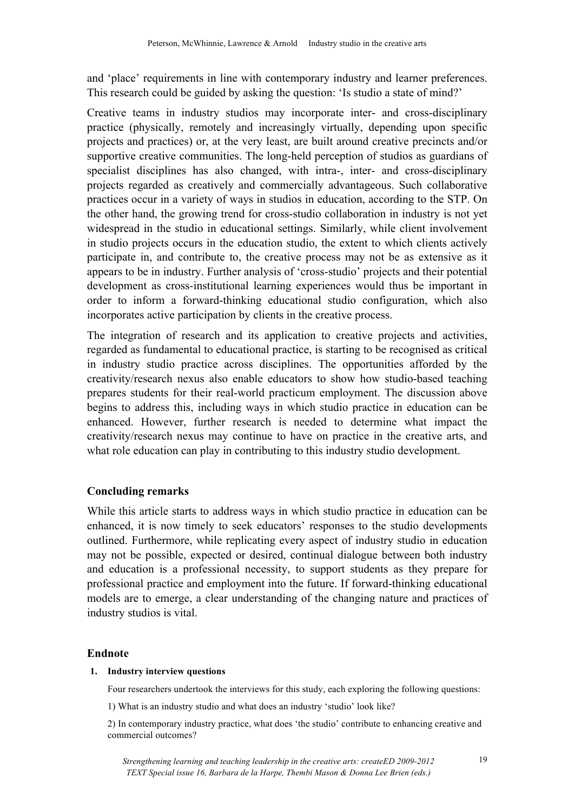and 'place' requirements in line with contemporary industry and learner preferences. This research could be guided by asking the question: 'Is studio a state of mind?'

Creative teams in industry studios may incorporate inter- and cross-disciplinary practice (physically, remotely and increasingly virtually, depending upon specific projects and practices) or, at the very least, are built around creative precincts and/or supportive creative communities. The long-held perception of studios as guardians of specialist disciplines has also changed, with intra-, inter- and cross-disciplinary projects regarded as creatively and commercially advantageous. Such collaborative practices occur in a variety of ways in studios in education, according to the STP. On the other hand, the growing trend for cross-studio collaboration in industry is not yet widespread in the studio in educational settings. Similarly, while client involvement in studio projects occurs in the education studio, the extent to which clients actively participate in, and contribute to, the creative process may not be as extensive as it appears to be in industry. Further analysis of 'cross-studio' projects and their potential development as cross-institutional learning experiences would thus be important in order to inform a forward-thinking educational studio configuration, which also incorporates active participation by clients in the creative process.

The integration of research and its application to creative projects and activities, regarded as fundamental to educational practice, is starting to be recognised as critical in industry studio practice across disciplines. The opportunities afforded by the creativity/research nexus also enable educators to show how studio-based teaching prepares students for their real-world practicum employment. The discussion above begins to address this, including ways in which studio practice in education can be enhanced. However, further research is needed to determine what impact the creativity/research nexus may continue to have on practice in the creative arts, and what role education can play in contributing to this industry studio development.

### **Concluding remarks**

While this article starts to address ways in which studio practice in education can be enhanced, it is now timely to seek educators' responses to the studio developments outlined. Furthermore, while replicating every aspect of industry studio in education may not be possible, expected or desired, continual dialogue between both industry and education is a professional necessity, to support students as they prepare for professional practice and employment into the future. If forward-thinking educational models are to emerge, a clear understanding of the changing nature and practices of industry studios is vital.

#### **Endnote**

#### **1. Industry interview questions**

Four researchers undertook the interviews for this study, each exploring the following questions:

1) What is an industry studio and what does an industry 'studio' look like?

2) In contemporary industry practice, what does 'the studio' contribute to enhancing creative and commercial outcomes?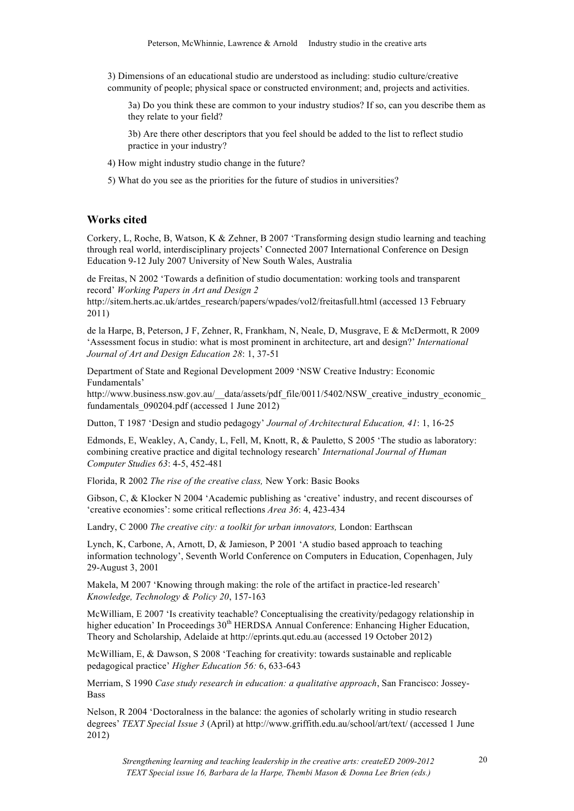3) Dimensions of an educational studio are understood as including: studio culture/creative community of people; physical space or constructed environment; and, projects and activities.

3a) Do you think these are common to your industry studios? If so, can you describe them as they relate to your field?

3b) Are there other descriptors that you feel should be added to the list to reflect studio practice in your industry?

4) How might industry studio change in the future?

5) What do you see as the priorities for the future of studios in universities?

#### **Works cited**

Corkery, L, Roche, B, Watson, K & Zehner, B 2007 'Transforming design studio learning and teaching through real world, interdisciplinary projects' Connected 2007 International Conference on Design Education 9-12 July 2007 University of New South Wales, Australia

de Freitas, N 2002 'Towards a definition of studio documentation: working tools and transparent record' *Working Papers in Art and Design 2*

http://sitem.herts.ac.uk/artdes\_research/papers/wpades/vol2/freitasfull.html (accessed 13 February 2011)

de la Harpe, B, Peterson, J F, Zehner, R, Frankham, N, Neale, D, Musgrave, E & McDermott, R 2009 'Assessment focus in studio: what is most prominent in architecture, art and design?' *International Journal of Art and Design Education 28*: 1, 37-51

Department of State and Regional Development 2009 'NSW Creative Industry: Economic Fundamentals'

http://www.business.nsw.gov.au/\_\_data/assets/pdf\_file/0011/5402/NSW\_creative\_industry\_economic fundamentals\_090204.pdf (accessed 1 June 2012)

Dutton, T 1987 'Design and studio pedagogy' *Journal of Architectural Education, 41*: 1, 16-25

Edmonds, E, Weakley, A, Candy, L, Fell, M, Knott, R, & Pauletto, S 2005 'The studio as laboratory: combining creative practice and digital technology research' *International Journal of Human Computer Studies 63*: 4-5, 452-481

Florida, R 2002 *The rise of the creative class,* New York: Basic Books

Gibson, C, & Klocker N 2004 'Academic publishing as 'creative' industry, and recent discourses of 'creative economies': some critical reflections *Area 36*: 4, 423-434

Landry, C 2000 *The creative city: a toolkit for urban innovators,* London: Earthscan

Lynch, K, Carbone, A, Arnott, D, & Jamieson, P 2001 'A studio based approach to teaching information technology', Seventh World Conference on Computers in Education, Copenhagen, July 29-August 3, 2001

Makela, M 2007 'Knowing through making: the role of the artifact in practice-led research' *Knowledge, Technology & Policy 20*, 157-163

McWilliam, E 2007 'Is creativity teachable? Conceptualising the creativity/pedagogy relationship in higher education' In Proceedings 30<sup>th</sup> HERDSA Annual Conference: Enhancing Higher Education, Theory and Scholarship, Adelaide at http://eprints.qut.edu.au (accessed 19 October 2012)

McWilliam, E, & Dawson, S 2008 'Teaching for creativity: towards sustainable and replicable pedagogical practice' *Higher Education 56:* 6, 633-643

Merriam, S 1990 *Case study research in education: a qualitative approach*, San Francisco: Jossey-Bass

Nelson, R 2004 'Doctoralness in the balance: the agonies of scholarly writing in studio research degrees' *TEXT Special Issue 3* (April) at http://www.griffith.edu.au/school/art/text/ (accessed 1 June 2012)

*Strengthening learning and teaching leadership in the creative arts: createED 2009-2012 TEXT Special issue 16, Barbara de la Harpe, Thembi Mason & Donna Lee Brien (eds.)*